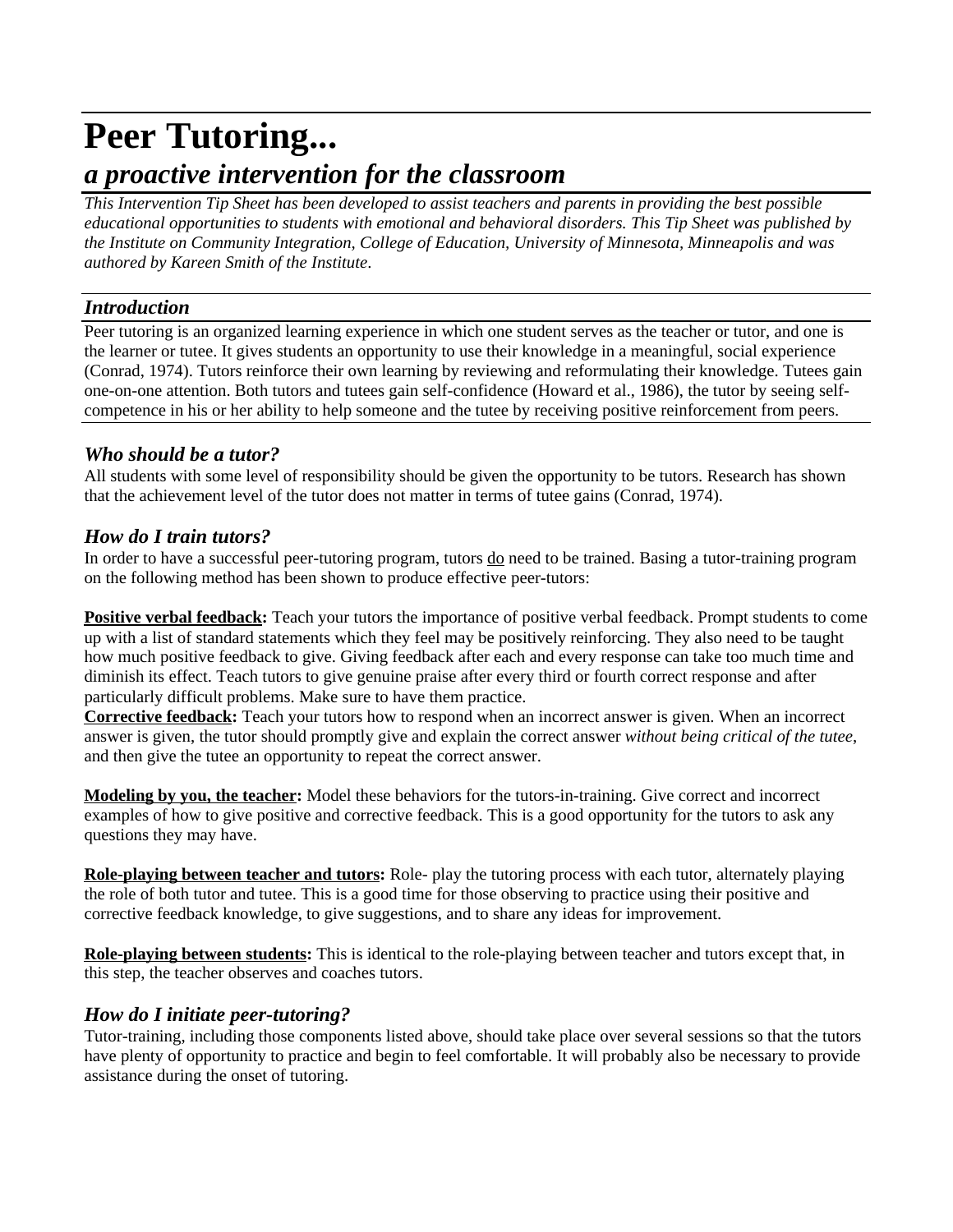# **Peer Tutoring...**

# *a proactive intervention for the classroom*

*This Intervention Tip Sheet has been developed to assist teachers and parents in providing the best possible educational opportunities to students with emotional and behavioral disorders. This Tip Sheet was published by the Institute on Community Integration, College of Education, University of Minnesota, Minneapolis and was authored by Kareen Smith of the Institute*.

# *Introduction*

Peer tutoring is an organized learning experience in which one student serves as the teacher or tutor, and one is the learner or tutee. It gives students an opportunity to use their knowledge in a meaningful, social experience (Conrad, 1974). Tutors reinforce their own learning by reviewing and reformulating their knowledge. Tutees gain one-on-one attention. Both tutors and tutees gain self-confidence (Howard et al., 1986), the tutor by seeing selfcompetence in his or her ability to help someone and the tutee by receiving positive reinforcement from peers.

# *Who should be a tutor?*

All students with some level of responsibility should be given the opportunity to be tutors. Research has shown that the achievement level of the tutor does not matter in terms of tutee gains (Conrad, 1974).

# *How do I train tutors?*

In order to have a successful peer-tutoring program, tutors do need to be trained. Basing a tutor-training program on the following method has been shown to produce effective peer-tutors:

**Positive verbal feedback:** Teach your tutors the importance of positive verbal feedback. Prompt students to come up with a list of standard statements which they feel may be positively reinforcing. They also need to be taught how much positive feedback to give. Giving feedback after each and every response can take too much time and diminish its effect. Teach tutors to give genuine praise after every third or fourth correct response and after particularly difficult problems. Make sure to have them practice.

**Corrective feedback:** Teach your tutors how to respond when an incorrect answer is given. When an incorrect answer is given, the tutor should promptly give and explain the correct answer *without being critical of the tutee*, and then give the tutee an opportunity to repeat the correct answer.

**Modeling by you, the teacher:** Model these behaviors for the tutors-in-training. Give correct and incorrect examples of how to give positive and corrective feedback. This is a good opportunity for the tutors to ask any questions they may have.

**Role-playing between teacher and tutors:** Role- play the tutoring process with each tutor, alternately playing the role of both tutor and tutee. This is a good time for those observing to practice using their positive and corrective feedback knowledge, to give suggestions, and to share any ideas for improvement.

**Role-playing between students:** This is identical to the role-playing between teacher and tutors except that, in this step, the teacher observes and coaches tutors.

# *How do I initiate peer-tutoring?*

Tutor-training, including those components listed above, should take place over several sessions so that the tutors have plenty of opportunity to practice and begin to feel comfortable. It will probably also be necessary to provide assistance during the onset of tutoring.